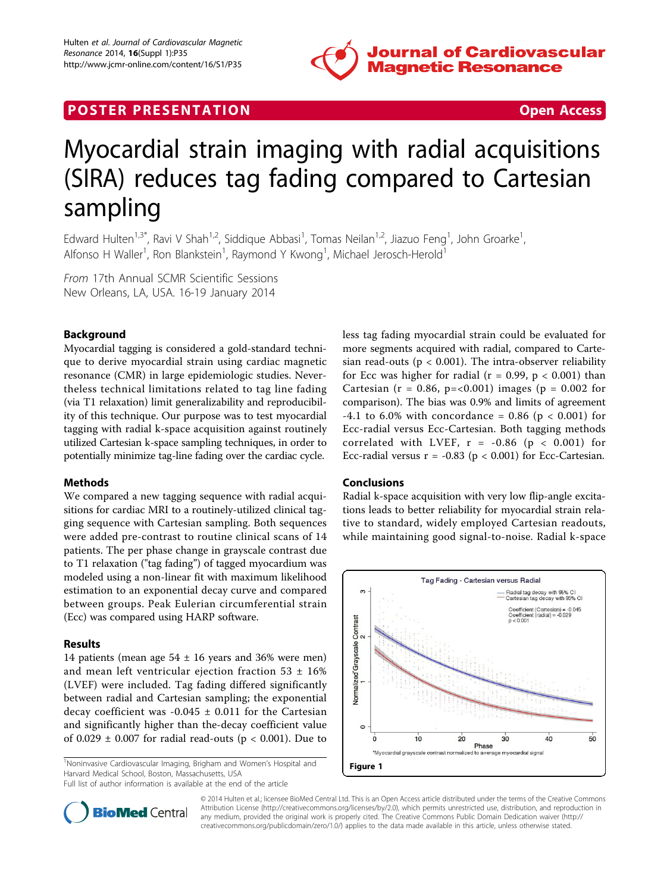

## **POSTER PRESENTATION CONSUMING THE SECOND CONSUMING THE SECOND CONSUMING THE SECOND CONSUMING THE SECOND CONSUMING THE SECOND CONSUMING THE SECOND CONSUMING THE SECOND CONSUMING THE SECOND CONSUMING THE SECOND CONSUMING**

# Myocardial strain imaging with radial acquisitions (SIRA) reduces tag fading compared to Cartesian sampling

Edward Hulten<sup>1,3\*</sup>, Ravi V Shah<sup>1,2</sup>, Siddique Abbasi<sup>1</sup>, Tomas Neilan<sup>1,2</sup>, Jiazuo Feng<sup>1</sup>, John Groarke<sup>1</sup> , Alfonso H Waller<sup>1</sup>, Ron Blankstein<sup>1</sup>, Raymond Y Kwong<sup>1</sup>, Michael Jerosch-Herold<sup>1</sup>

From 17th Annual SCMR Scientific Sessions New Orleans, LA, USA. 16-19 January 2014

### Background

Myocardial tagging is considered a gold-standard technique to derive myocardial strain using cardiac magnetic resonance (CMR) in large epidemiologic studies. Nevertheless technical limitations related to tag line fading (via T1 relaxation) limit generalizability and reproducibility of this technique. Our purpose was to test myocardial tagging with radial k-space acquisition against routinely utilized Cartesian k-space sampling techniques, in order to potentially minimize tag-line fading over the cardiac cycle.

#### Methods

We compared a new tagging sequence with radial acquisitions for cardiac MRI to a routinely-utilized clinical tagging sequence with Cartesian sampling. Both sequences were added pre-contrast to routine clinical scans of 14 patients. The per phase change in grayscale contrast due to T1 relaxation ("tag fading") of tagged myocardium was modeled using a non-linear fit with maximum likelihood estimation to an exponential decay curve and compared between groups. Peak Eulerian circumferential strain (Ecc) was compared using HARP software.

#### Results

14 patients (mean age  $54 \pm 16$  years and 36% were men) and mean left ventricular ejection fraction 53  $\pm$  16% (LVEF) were included. Tag fading differed significantly between radial and Cartesian sampling; the exponential decay coefficient was -0.045  $\pm$  0.011 for the Cartesian and significantly higher than the-decay coefficient value of 0.029  $\pm$  0.007 for radial read-outs (p < 0.001). Due to

<sup>1</sup>Noninvasive Cardiovascular Imaging, Brigham and Women's Hospital and Harvard Medical School, Boston, Massachusetts, USA

Full list of author information is available at the end of the article

less tag fading myocardial strain could be evaluated for more segments acquired with radial, compared to Cartesian read-outs ( $p < 0.001$ ). The intra-observer reliability for Ecc was higher for radial ( $r = 0.99$ ,  $p < 0.001$ ) than Cartesian ( $r = 0.86$ ,  $p = <0.001$ ) images ( $p = 0.002$  for comparison). The bias was 0.9% and limits of agreement  $-4.1$  to 6.0% with concordance = 0.86 (p < 0.001) for Ecc-radial versus Ecc-Cartesian. Both tagging methods correlated with LVEF,  $r = -0.86$  ( $p < 0.001$ ) for Ecc-radial versus  $r = -0.83$  ( $p < 0.001$ ) for Ecc-Cartesian.

#### Conclusions

Radial k-space acquisition with very low flip-angle excitations leads to better reliability for myocardial strain relative to standard, widely employed Cartesian readouts, while maintaining good signal-to-noise. Radial k-space





© 2014 Hulten et al.; licensee BioMed Central Ltd. This is an Open Access article distributed under the terms of the Creative Commons Attribution License [\(http://creativecommons.org/licenses/by/2.0](http://creativecommons.org/licenses/by/2.0)), which permits unrestricted use, distribution, and reproduction in any medium, provided the original work is properly cited. The Creative Commons Public Domain Dedication waiver [\(http://](http://creativecommons.org/publicdomain/zero/1.0/) [creativecommons.org/publicdomain/zero/1.0/](http://creativecommons.org/publicdomain/zero/1.0/)) applies to the data made available in this article, unless otherwise stated.